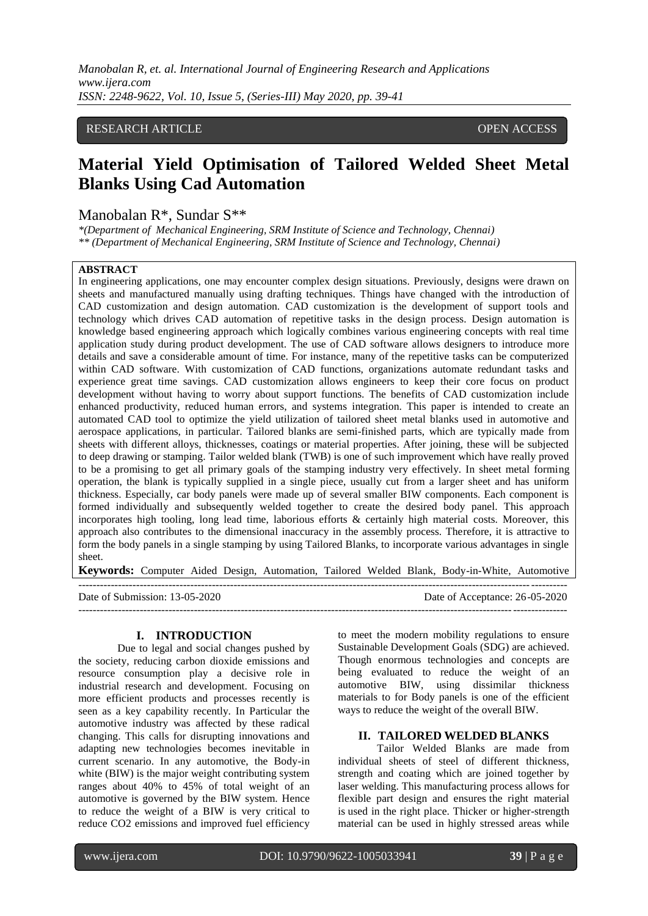*Manobalan R, et. al. International Journal of Engineering Research and Applications www.ijera.com ISSN: 2248-9622, Vol. 10, Issue 5, (Series-III) May 2020, pp. 39-41*

## RESEARCH ARTICLE **CONSERVERS** OPEN ACCESS

# **Material Yield Optimisation of Tailored Welded Sheet Metal Blanks Using Cad Automation**

## Manobalan R\*, Sundar S\*\*

*\*(Department of Mechanical Engineering, SRM Institute of Science and Technology, Chennai) \*\* (Department of Mechanical Engineering, SRM Institute of Science and Technology, Chennai)*

#### **ABSTRACT**

In engineering applications, one may encounter complex design situations. Previously, designs were drawn on sheets and manufactured manually using drafting techniques. Things have changed with the introduction of CAD customization and design automation. CAD customization is the development of support tools and technology which drives CAD automation of repetitive tasks in the design process. Design automation is knowledge based engineering approach which logically combines various engineering concepts with real time application study during product development. The use of CAD software allows designers to introduce more details and save a considerable amount of time. For instance, many of the repetitive tasks can be computerized within CAD software. With customization of CAD functions, organizations automate redundant tasks and experience great time savings. CAD customization allows engineers to keep their core focus on product development without having to worry about support functions. The benefits of CAD customization include enhanced productivity, reduced human errors, and systems integration. This paper is intended to create an automated CAD tool to optimize the yield utilization of tailored sheet metal blanks used in automotive and aerospace applications, in particular. Tailored blanks are semi-finished parts, which are typically made from sheets with different alloys, thicknesses, coatings or material properties. After joining, these will be subjected to [deep drawing](https://en.wikipedia.org/wiki/Deep_drawing) or [stamping.](https://en.wikipedia.org/wiki/Stamping_(metalworking)) Tailor welded blank (TWB) is one of such improvement which have really proved to be a promising to get all primary goals of the stamping industry very effectively. In sheet metal forming operation, the blank is typically supplied in a single piece, usually cut from a larger sheet and has uniform thickness. Especially, car body panels were made up of several smaller BIW components. Each component is formed individually and subsequently welded together to create the desired body panel. This approach incorporates high tooling, long lead time, laborious efforts & certainly high material costs. Moreover, this approach also contributes to the dimensional inaccuracy in the assembly process. Therefore, it is attractive to form the body panels in a single stamping by using Tailored Blanks, to incorporate various advantages in single sheet.

**Keywords:** Computer Aided Design, Automation, Tailored Welded Blank, Body-in-White, Automotive

| Date of Submission: 13-05-2020 | Date of Acceptance: 26-05-2020 |
|--------------------------------|--------------------------------|
|                                |                                |

#### **I. INTRODUCTION**

Due to legal and social changes pushed by the society, reducing carbon dioxide emissions and resource consumption play a decisive role in industrial research and development. Focusing on more efficient products and processes recently is seen as a key capability recently. In Particular the automotive industry was affected by these radical changing. This calls for disrupting innovations and adapting new technologies becomes inevitable in current scenario. In any automotive, the Body-in white (BIW) is the major weight contributing system ranges about 40% to 45% of total weight of an automotive is governed by the BIW system. Hence to reduce the weight of a BIW is very critical to reduce CO2 emissions and improved fuel efficiency

to meet the modern mobility regulations to ensure Sustainable Development Goals (SDG) are achieved. Though enormous technologies and concepts are being evaluated to reduce the weight of an automotive BIW, using dissimilar thickness materials to for Body panels is one of the efficient ways to reduce the weight of the overall BIW.

### **II. TAILORED WELDED BLANKS**

Tailor Welded Blanks are made from individual sheets of steel of different thickness, strength and coating which are joined together by laser welding. This manufacturing process allows for flexible part design and ensures the right material is used in the right place. Thicker or higher-strength material can be used in highly stressed areas while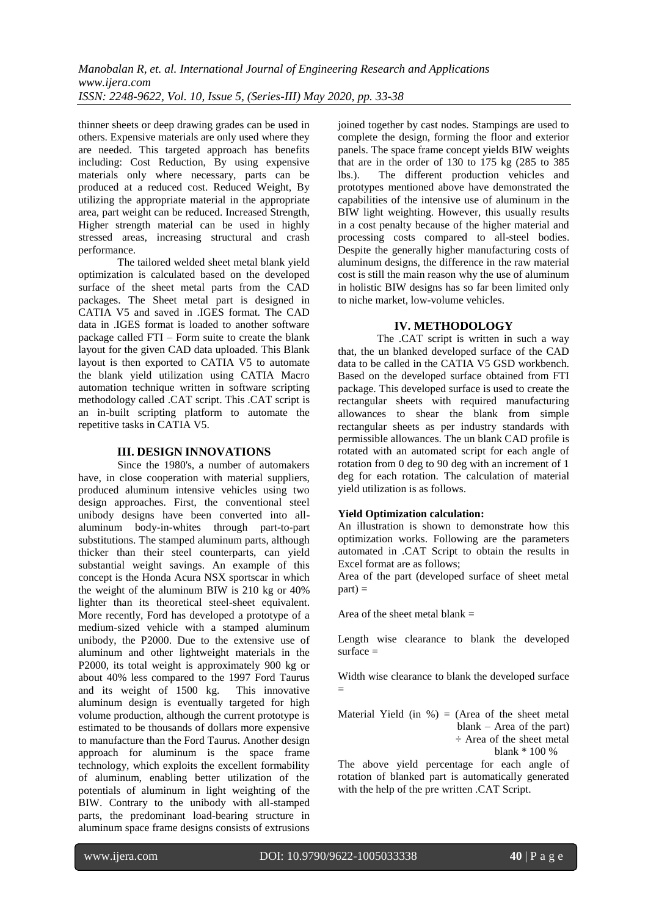thinner sheets or deep drawing grades can be used in others. Expensive materials are only used where they are needed. This targeted approach has benefits including: Cost Reduction, By using expensive materials only where necessary, parts can be produced at a reduced cost. Reduced Weight, By utilizing the appropriate material in the appropriate area, part weight can be reduced. Increased Strength, Higher strength material can be used in highly stressed areas, increasing structural and crash performance.

The tailored welded sheet metal blank yield optimization is calculated based on the developed surface of the sheet metal parts from the CAD packages. The Sheet metal part is designed in CATIA V5 and saved in .IGES format. The CAD data in .IGES format is loaded to another software package called FTI – Form suite to create the blank layout for the given CAD data uploaded. This Blank layout is then exported to CATIA V5 to automate the blank yield utilization using CATIA Macro automation technique written in software scripting methodology called .CAT script. This .CAT script is an in-built scripting platform to automate the repetitive tasks in CATIA V5.

## **III. DESIGN INNOVATIONS**

Since the 1980's, a number of automakers have, in close cooperation with material suppliers, produced aluminum intensive vehicles using two design approaches. First, the conventional steel unibody designs have been converted into allaluminum body-in-whites through part-to-part substitutions. The stamped aluminum parts, although thicker than their steel counterparts, can yield substantial weight savings. An example of this concept is the Honda Acura NSX sportscar in which the weight of the aluminum BIW is 210 kg or 40% lighter than its theoretical steel-sheet equivalent. More recently, Ford has developed a prototype of a medium-sized vehicle with a stamped aluminum unibody, the P2000. Due to the extensive use of aluminum and other lightweight materials in the P2000, its total weight is approximately 900 kg or about 40% less compared to the 1997 Ford Taurus and its weight of 1500 kg. This innovative aluminum design is eventually targeted for high volume production, although the current prototype is estimated to be thousands of dollars more expensive to manufacture than the Ford Taurus. Another design approach for aluminum is the space frame technology, which exploits the excellent formability of aluminum, enabling better utilization of the potentials of aluminum in light weighting of the BIW. Contrary to the unibody with all-stamped parts, the predominant load-bearing structure in aluminum space frame designs consists of extrusions

joined together by cast nodes. Stampings are used to complete the design, forming the floor and exterior panels. The space frame concept yields BIW weights that are in the order of 130 to 175 kg (285 to 385 lbs.). The different production vehicles and The different production vehicles and prototypes mentioned above have demonstrated the capabilities of the intensive use of aluminum in the BIW light weighting. However, this usually results in a cost penalty because of the higher material and processing costs compared to all-steel bodies. Despite the generally higher manufacturing costs of aluminum designs, the difference in the raw material cost is still the main reason why the use of aluminum in holistic BIW designs has so far been limited only to niche market, low-volume vehicles.

## **IV. METHODOLOGY**

The .CAT script is written in such a way that, the un blanked developed surface of the CAD data to be called in the CATIA V5 GSD workbench. Based on the developed surface obtained from FTI package. This developed surface is used to create the rectangular sheets with required manufacturing allowances to shear the blank from simple rectangular sheets as per industry standards with permissible allowances. The un blank CAD profile is rotated with an automated script for each angle of rotation from 0 deg to 90 deg with an increment of 1 deg for each rotation. The calculation of material yield utilization is as follows.

## **Yield Optimization calculation:**

An illustration is shown to demonstrate how this optimization works. Following are the parameters automated in .CAT Script to obtain the results in Excel format are as follows;

Area of the part (developed surface of sheet metal  $part$ ) =

Area of the sheet metal blank  $=$ 

Length wise clearance to blank the developed  $surface =$ 

Width wise clearance to blank the developed surface =

Material Yield (in  $\%$ ) = (Area of the sheet metal blank – Area of the part) ÷ Area of the sheet metal blank \* 100 %

The above yield percentage for each angle of rotation of blanked part is automatically generated with the help of the pre written .CAT Script.